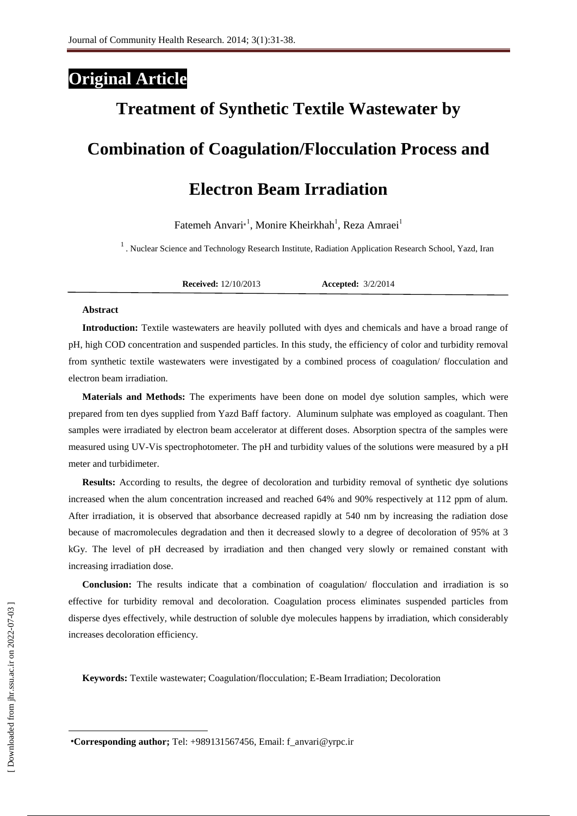### **Original Article**

# **Treatment of Synthetic Textile Wastewater by Combination of Coagulation/Flocculation Process and**

## **Electron Beam Irradiation**

Fatemeh Anvari<sup>\*1</sup>, Monire Kheirkhah<sup>1</sup>, Reza Amraei<sup>1</sup>

<sup>1</sup>. Nuclear Science and Technology Research Institute, Radiation Application Research School, Yazd, Iran

**Received:** 12/10/2013 **Accepted:** 3/2/2014

#### **Abstract**

**Introduction:** Textile wastewaters are heavily polluted with dyes and chemicals and have a broad range of pH, high COD concentration and suspended particles. In this study, the efficiency of color and turbidity removal from synthetic textile wastewaters were investigated by a combined process of coagulation/ flocculation and electron beam irradiation.

**Materials and Methods:** The experiments have been done on model dye solution samples, which were prepared from ten dyes supplied from Yazd Baff factory. Aluminum sulphate was employed as coagulant. Then samples were irradiated by electron beam accelerator at different doses. Absorption spectra of the samples were measured using UV-Vis spectrophotometer. The pH and turbidity values of the solutions were measured by a pH meter and turbidimeter.

**Results:** According to results, the degree of decoloration and turbidity removal of synthetic dye solutions increased when the alum concentration increased and reached 64% and 90% respectively at 112 ppm of alum. After irradiation, it is observed that absorbance decreased rapidly at 540 nm by increasing the radiation dose because of macromolecules degradation and then it decreased slowly to a degree of decoloration of 95% at 3 kGy. The level of pH decreased by irradiation and then changed very slowly or remained constant with increasing irradiation dose.

**Conclusion:** The results indicate that a combination of coagulation/ flocculation and irradiation is so effective for turbidity removal and decoloration. Coagulation process eliminates suspended particles from disperse dyes effectively, while destruction of soluble dye molecules happens by irradiation, which considerably increases decoloration efficiency.

**Keywords:** Textile wastewater; Coagulation/flocculation; E-Beam Irradiation; Decoloration

<sup>∗</sup>**Corresponding author;** Tel: +989131567456, Email: f\_anvari@yrpc.ir

 $\overline{\phantom{a}}$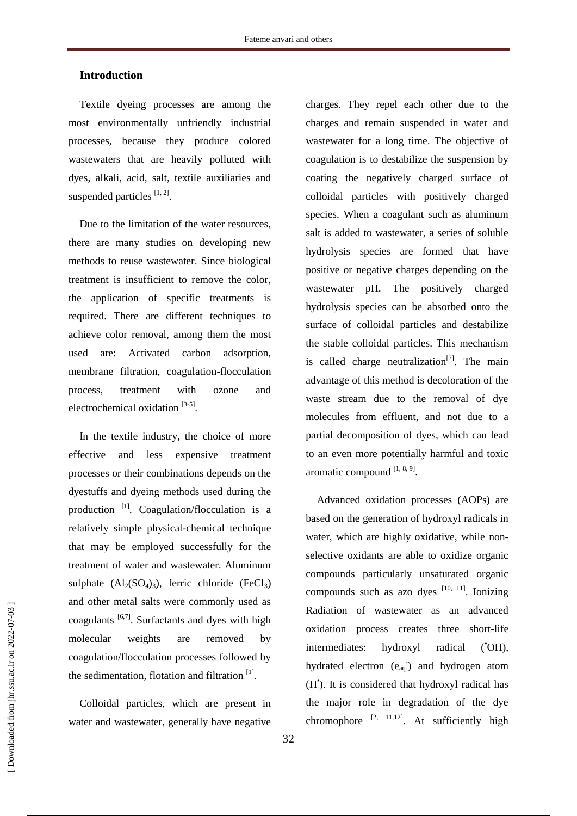#### **Introduction**

Textile dyeing processes are among the most environmentally unfriendly industrial processes, because they produce colored wastewaters that are heavily polluted with dyes, alkali, acid, salt, textile auxiliaries and suspended particles  $[1, 2]$ .

Due to the limitation of the water resources, there are many studies on developing new methods to reuse wastewater. Since biological treatment is insufficient to remove the color, the application of specific treatments is required. There are different techniques to achieve color removal, among them the most used are: Activated carbon adsorption, membrane filtration, coagulation-flocculation process, treatment with ozone and electrochemical oxidation [3-5].

In the textile industry, the choice of more effective and less expensive treatment processes or their combinations depends on the dyestuffs and dyeing methods used during the production <sup>[1]</sup>. Coagulation/flocculation is a relatively simple physical-chemical technique that may be employed successfully for the treatment of water and wastewater. Aluminum sulphate  $(Al_2(SO_4)_3)$ , ferric chloride  $(FeCl_3)$ and other metal salts were commonly used as coagulants  $[6,7]$ . Surfactants and dyes with high molecular weights are removed by coagulation/flocculation processes followed by the sedimentation, flotation and filtration [1].

Colloidal particles, which are present in water and wastewater, generally have negative

charges. They repel each other due to the charges and remain suspended in water and wastewater for a long time. The objective of coagulation is to destabilize the suspension by coating the negatively charged surface of colloidal particles with positively charged species. When a coagulant such as aluminum salt is added to wastewater, a series of soluble hydrolysis species are formed that have positive or negative charges depending on the wastewater pH. The positively charged hydrolysis species can be absorbed onto the surface of colloidal particles and destabilize the stable colloidal particles. This mechanism is called charge neutralization<sup>[7]</sup>. The main advantage of this method is decoloration of the waste stream due to the removal of dye molecules from effluent, and not due to a partial decomposition of dyes, which can lead to an even more potentially harmful and toxic aromatic compound [1, 8, 9].

Advanced oxidation processes (AOPs) are based on the generation of hydroxyl radicals in water, which are highly oxidative, while nonselective oxidants are able to oxidize organic compounds particularly unsaturated organic compounds such as azo dyes  $[10, 11]$ . Ionizing Radiation of wastewater as an advanced oxidation process creates three short-life intermediates: hydroxyl radical ('OH), hydrated electron  $(e_{aq})$  and hydrogen atom (H<sup>t</sup>). It is considered that hydroxyl radical has the major role in degradation of the dye chromophore  $[2, 11, 12]$ . At sufficiently high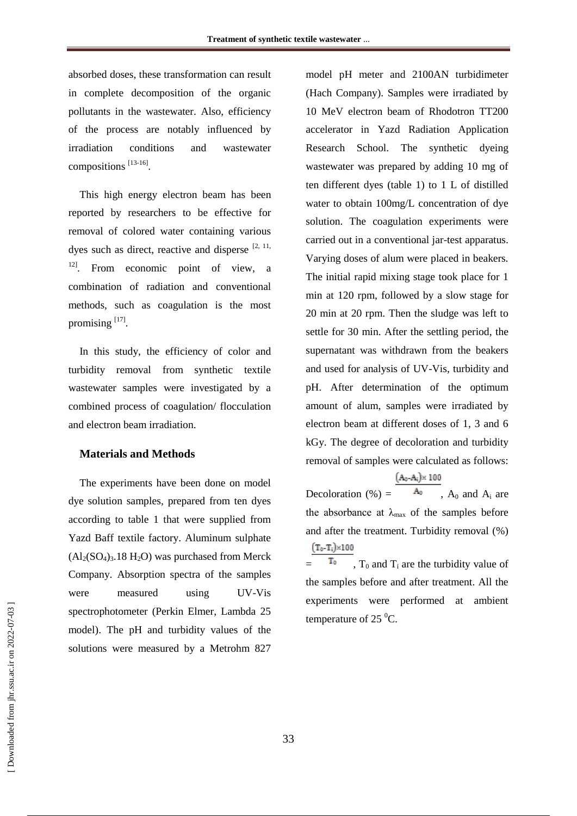absorbed doses, these transformation can result in complete decomposition of the organic pollutants in the wastewater. Also, efficiency of the process are notably influenced by irradiation conditions and wastewater compositions [13-16].

This high energy electron beam has been reported by researchers to be effective for removal of colored water containing various dyes such as direct, reactive and disperse  $[2, 11, 1]$ <sup>12]</sup>. From economic point of view, a combination of radiation and conventional methods, such as coagulation is the most promising [17].

In this study, the efficiency of color and turbidity removal from synthetic textile wastewater samples were investigated by a combined process of coagulation/ flocculation and electron beam irradiation.

#### **Materials and Methods**

The experiments have been done on model dye solution samples, prepared from ten dyes according to table 1 that were supplied from Yazd Baff textile factory. Aluminum sulphate  $(Al_2(SO_4)_3.18 H_2O)$  was purchased from Merck Company. Absorption spectra of the samples were measured using UV-Vis spectrophotometer (Perkin Elmer, Lambda 25 model). The pH and turbidity values of the solutions were measured by a Metrohm 827

model pH meter and 2100AN turbidimeter (Hach Company). Samples were irradiated by 10 MeV electron beam of Rhodotron TT200 accelerator in Yazd Radiation Application Research School. The synthetic dyeing wastewater was prepared by adding 10 mg of ten different dyes (table 1) to 1 L of distilled water to obtain 100mg/L concentration of dye solution. The coagulation experiments were carried out in a conventional jar-test apparatus. Varying doses of alum were placed in beakers. The initial rapid mixing stage took place for 1 min at 120 rpm, followed by a slow stage for 20 min at 20 rpm. Then the sludge was left to settle for 30 min. After the settling period, the supernatant was withdrawn from the beakers and used for analysis of UV-Vis, turbidity and pH. After determination of the optimum amount of alum, samples were irradiated by electron beam at different doses of 1, 3 and 6 kGy. The degree of decoloration and turbidity removal of samples were calculated as follows:

 $(A_0 - A_i) \times 100$ Decoloration (%) =  $A_0$ ,  $A_0$  and  $A_i$  are the absorbance at  $\lambda_{\text{max}}$  of the samples before and after the treatment. Turbidity removal (%)  $(T_0-T_i) \times 100$ 

 $T_0$ ,  $T_0$  and  $T_i$  are the turbidity value of the samples before and after treatment. All the experiments were performed at ambient temperature of 25 $\mathrm{^0C}$ .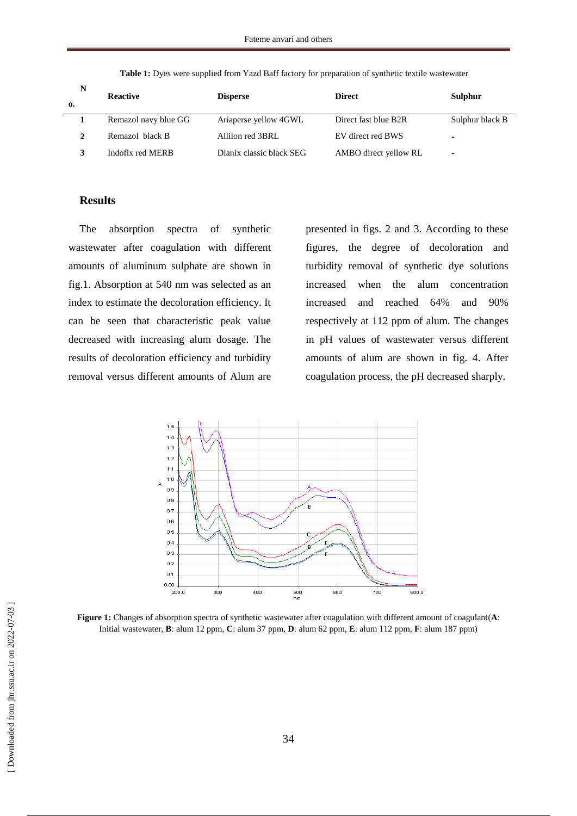| N<br>0. | <b>Reactive</b>      | <b>Disperse</b>          | <b>Direct</b>         | Sulphur                  |
|---------|----------------------|--------------------------|-----------------------|--------------------------|
|         | Remazol navy blue GG | Ariaperse yellow 4GWL    | Direct fast blue B2R  | Sulphur black B          |
|         | Remazol black B      | Allilon red 3BRL         | EV direct red BWS     | -                        |
|         | Indofix red MERB     | Dianix classic black SEG | AMBO direct yellow RL | $\overline{\phantom{0}}$ |

**Table 1:** Dyes were supplied from Yazd Baff factory for preparation of synthetic textile wastewater

#### **Results**

The absorption spectra of synthetic wastewater after coagulation with different amounts of aluminum sulphate are shown in fig.1. Absorption at 540 nm was selected as an index to estimate the decoloration efficiency. It can be seen that characteristic peak value decreased with increasing alum dosage. The results of decoloration efficiency and turbidity removal versus different amounts of Alum are

presented in figs. 2 and 3. According to these figures, the degree of decoloration and turbidity removal of synthetic dye solutions increased when the alum concentration increased and reached 64% and 90% respectively at 112 ppm of alum. The changes in pH values of wastewater versus different amounts of alum are shown in fig. 4. After coagulation process, the pH decreased sharply.



**Figure 1:** Changes of absorption spectra of synthetic wastewater after coagulation with different amount of coagulant(**A**: Initial wastewater, **B**: alum 12 ppm, **C**: alum 37 ppm, **D**: alum 62 ppm, **E**: alum 112 ppm, **F**: alum 187 ppm)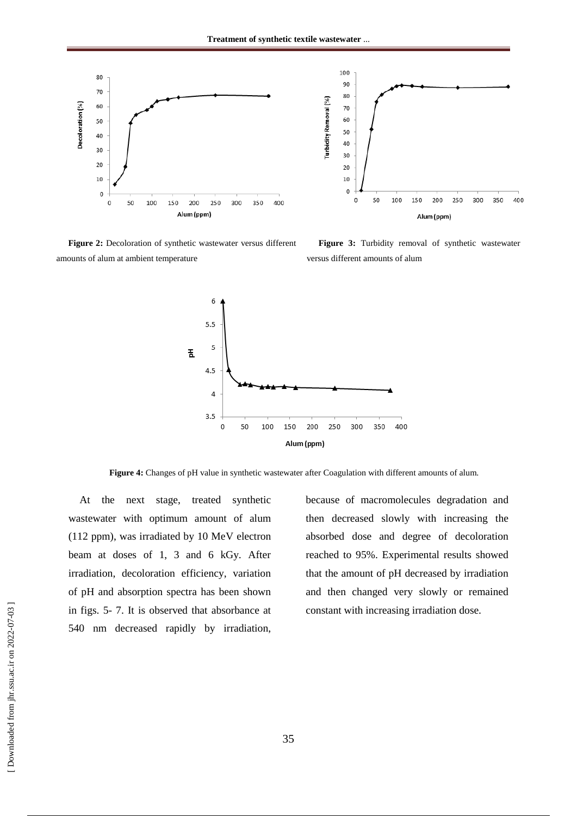



**Figure 2:** Decoloration of synthetic wastewater versus different amounts of alum at ambient temperature

**Figure 3:** Turbidity removal of synthetic wastewater versus different amounts of alum



**Figure 4:** Changes of pH value in synthetic wastewater after Coagulation with different amounts of alum.

At the next stage, treated synthetic wastewater with optimum amount of alum (112 ppm), was irradiated by 10 MeV electron beam at doses of 1, 3 and 6 kGy. After irradiation, decoloration efficiency, variation of pH and absorption spectra has been shown in figs. 5- 7. It is observed that absorbance at 540 nm decreased rapidly by irradiation, because of macromolecules degradation and then decreased slowly with increasing the absorbed dose and degree of decoloration reached to 95%. Experimental results showed that the amount of pH decreased by irradiation and then changed very slowly or remained constant with increasing irradiation dose.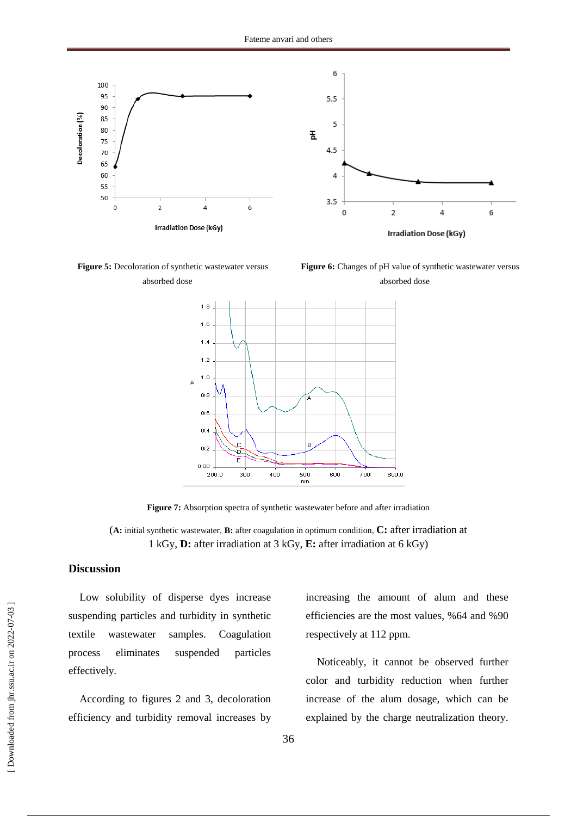



**Figure 6:** Changes of pH value of synthetic wastewater versus absorbed dose



**Figure 7:** Absorption spectra of synthetic wastewater before and after irradiation

(**A:** initial synthetic wastewater, **B:** after coagulation in optimum condition, **C:** after irradiation at 1 kGy, **D:** after irradiation at 3 kGy, **E:** after irradiation at 6 kGy)

#### **Discussion**

Low solubility of disperse dyes increase suspending particles and turbidity in synthetic textile wastewater samples. Coagulation process eliminates suspended particles effectively.

According to figures 2 and 3, decoloration efficiency and turbidity removal increases by increasing the amount of alum and these efficiencies are the most values, %64 and %90 respectively at 112 ppm.

Noticeably, it cannot be observed further color and turbidity reduction when further increase of the alum dosage, which can be explained by the charge neutralization theory.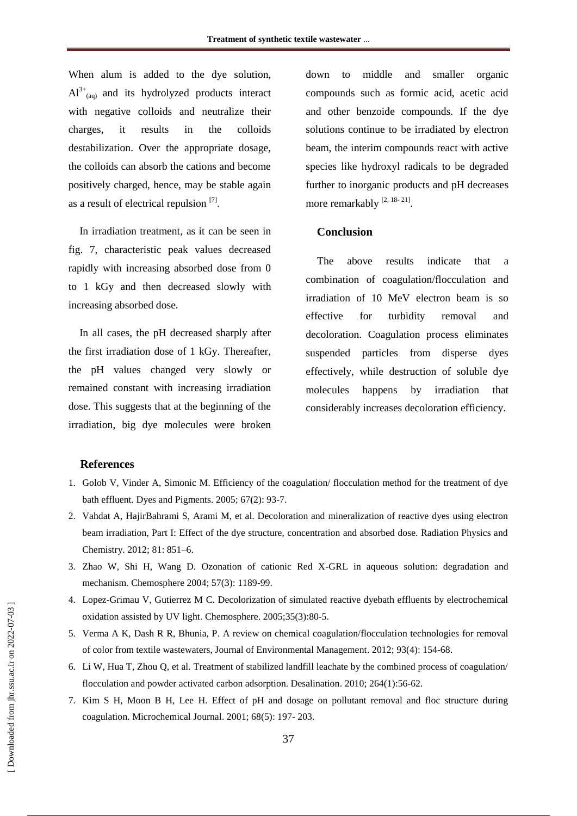When alum is added to the dye solution,  $Al^{3+}$ <sub>(aq)</sub> and its hydrolyzed products interact with negative colloids and neutralize their charges, it results in the colloids destabilization. Over the appropriate dosage, the colloids can absorb the cations and become positively charged, hence, may be stable again as a result of electrical repulsion [7].

In irradiation treatment, as it can be seen in fig. 7, characteristic peak values decreased rapidly with increasing absorbed dose from 0 to 1 kGy and then decreased slowly with increasing absorbed dose.

In all cases, the pH decreased sharply after the first irradiation dose of 1 kGy. Thereafter, the pH values changed very slowly or remained constant with increasing irradiation dose. This suggests that at the beginning of the irradiation, big dye molecules were broken down to middle and smaller organic compounds such as formic acid, acetic acid and other benzoide compounds. If the dye solutions continue to be irradiated by electron beam, the interim compounds react with active species like hydroxyl radicals to be degraded further to inorganic products and pH decreases more remarkably [2, 18-21].

#### **Conclusion**

The above results indicate that a combination of coagulation/flocculation and irradiation of 10 MeV electron beam is so effective for turbidity removal and decoloration. Coagulation process eliminates suspended particles from disperse dyes effectively, while destruction of soluble dye molecules happens by irradiation that considerably increases decoloration efficiency.

#### **References**

- 1. Golob V, Vinder A, Simonic M. Efficiency of the coagulation/ flocculation method for the treatment of dye bath effluent. Dyes and Pigments. 2005; 67(2): 93-7.
- 2. Vahdat A, HajirBahrami S, Arami M, et al. Decoloration and mineralization of reactive dyes using electron beam irradiation, Part I: Effect of the dye structure, concentration and absorbed dose. Radiation Physics and Chemistry. 2012; 81: 851–6.
- 3. Zhao W, Shi H, Wang D. Ozonation of cationic Red X-GRL in aqueous solution: degradation and mechanism. Chemosphere 2004; 57(3): 1189-99.
- 4. Lopez-Grimau V, Gutierrez M C. Decolorization of simulated reactive dyebath effluents by electrochemical oxidation assisted by UV light. Chemosphere. 2005;35(3):80-5.
- 5. Verma A K, Dash R R, Bhunia, P. A review on chemical coagulation/flocculation technologies for removal of color from textile wastewaters, Journal of Environmental Management. 2012; 93(4): 154-68.
- 6. Li W, Hua T, Zhou Q, et al. Treatment of stabilized landfill leachate by the combined process of coagulation/ flocculation and powder activated carbon adsorption. Desalination. 2010; 264(1):56-62.
- 7. Kim S H, Moon B H, Lee H. Effect of pH and dosage on pollutant removal and floc structure during coagulation. Microchemical Journal. 2001; 68(5): 197- 203.